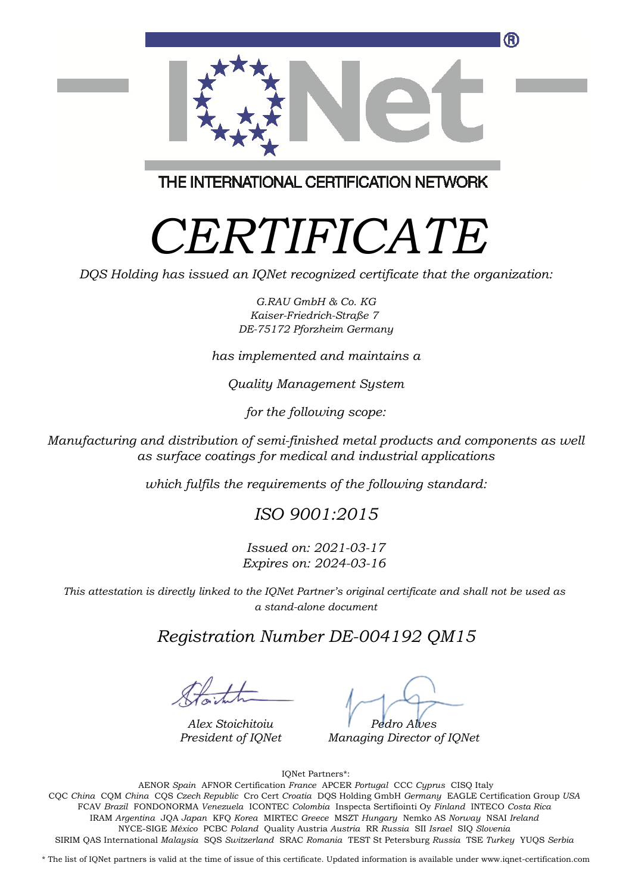

THE INTERNATIONAL CERTIFICATION NETWORK

## *CERTIFICATE*

*DQS Holding has issued an IQNet recognized certificate that the organization:*

*G.RAU GmbH & Co. KG Kaiser-Friedrich-Straße 7 DE-75172 Pforzheim Germany*

*has implemented and maintains a*

*Quality Management System*

*for the following scope:*

*Manufacturing and distribution of semi-finished metal products and components as well as surface coatings for medical and industrial applications*

*which fulfils the requirements of the following standard:*

*ISO 9001:2015*

*Issued on: 2021-03-17 Expires on: 2024-03-16*

*This attestation is directly linked to the IQNet Partner's original certificate and shall not be used as a stand-alone document*

*Registration Number DE-004192 QM15*

*Alex Stoichitoiu President of IQNet*

*Pedro Alves*

*Managing Director of IQNet*

IQNet Partners\*:

This annex is only valid in connection with the above-mentioned certificate. FCAV *Brazil* FONDONORMA *Venezuela* ICONTEC *Colombia* Inspecta Sertifiointi Oy *Finland* INTECO *Costa Rica* AENOR *Spain* AFNOR Certification *France* APCER *Portugal* CCC *Cyprus* CISQ Italy CQC *China* CQM *China* CQS *Czech Republic* Cro Cert *Croatia* DQS Holding GmbH *Germany* EAGLE Certification Group *USA* IRAM *Argentina* JQA *Japan* KFQ *Korea* MIRTEC *Greece* MSZT *Hungary* Nemko AS *Norway* NSAI *Ireland* NYCE-SIGE *México* PCBC *Poland* Quality Austria *Austria* RR *Russia* SII *Israel* SIQ *Slovenia* SIRIM QAS International *Malaysia* SQS *Switzerland* SRAC *Romania* TEST St Petersburg *Russia* TSE *Turkey* YUQS *Serbia*

\* The list of IQNet partners is valid at the time of issue of this certificate. Updated information is available under www.iqnet-certification.com